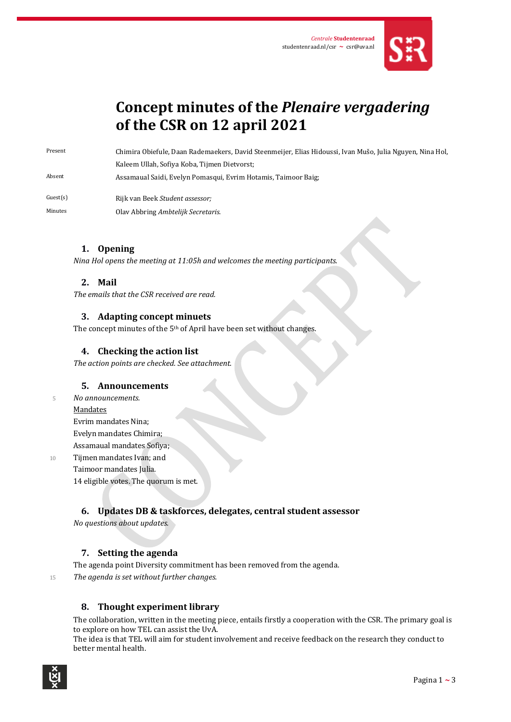

# **Concept minutes of the** *Plenaire vergadering* **of the CSR on 12 april 2021**

Present Chimira Obiefule, Daan Rademaekers, David Steenmeijer, Elias Hidoussi, Ivan Mušo, Julia Nguyen, Nina Hol, Kaleem Ullah, Sofiya Koba, Tijmen Dietvorst;

Absent Assamaual Saidi, Evelyn Pomasqui, Evrim Hotamis, Taimoor Baig;

Guest(s) Rijk van Beek *Student assessor;*

Minutes Olav Abbring *Ambtelijk Secretaris*.

## **1. Opening**

*Nina Hol opens the meeting at 11:05h and welcomes the meeting participants.* 

# **2. Mail**

*The emails that the CSR received are read.*

## **3. Adapting concept minuets**

The concept minutes of the 5<sup>th</sup> of April have been set without changes.

## **4. Checking the action list**

*The action points are checked. See attachment.*

## **5. Announcements**

<sup>5</sup> *No announcements.*

#### Mandates

Evrim mandates Nina; Evelyn mandates Chimira; Assamaual mandates Sofiya;

10 Tijmen mandates Ivan; and Taimoor mandates Julia. 14 eligible votes. The quorum is met.

# **6. Updates DB & taskforces, delegates, central student assessor**

*No questions about updates.*

## **7. Setting the agenda**

The agenda point Diversity commitment has been removed from the agenda.

<sup>15</sup> *The agenda is set without further changes.*

# **8. Thought experiment library**

The collaboration, written in the meeting piece, entails firstly a cooperation with the CSR. The primary goal is to explore on how TEL can assist the UvA.

The idea is that TEL will aim for student involvement and receive feedback on the research they conduct to better mental health.

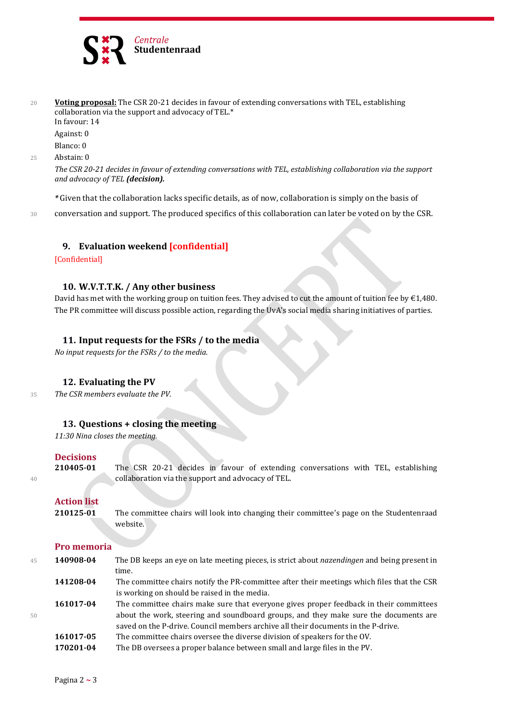

<sup>20</sup> **Voting proposal:** The CSR 20-21 decides in favour of extending conversations with TEL, establishing collaboration via the support and advocacy of TEL.\* In favour: 14

Against: 0

Blanco: 0

25 Abstain: 0

*The CSR 20-21 decides in favour of extending conversations with TEL, establishing collaboration via the support and advocacy of TEL (decision).*

*\** Given that the collaboration lacks specific details, as of now, collaboration is simply on the basis of

<sup>30</sup> conversation and support. The produced specifics of this collaboration can later be voted on by the CSR.

## **9. Evaluation weekend [confidential]**

[Confidential]

#### **10. W.V.T.T.K. / Any other business**

David has met with the working group on tuition fees. They advised to cut the amount of tuition fee by €1,480. The PR committee will discuss possible action, regarding the UvA's social media sharing initiatives of parties.

#### **11. Input requests for the FSRs / to the media**

*No input requests for the FSRs / to the media.*

#### **12. Evaluating the PV**

<sup>35</sup> *The CSR members evaluate the PV.*

# **13. Questions + closing the meeting**

*11:30 Nina closes the meeting.*

# **Decisions**

**210405-01** The CSR 20-21 decides in favour of extending conversations with TEL, establishing 40 collaboration via the support and advocacy of TEL.

## **Action list**

| 210125-01 | The committee chairs will look into changing their committee's page on the Studentenraad |
|-----------|------------------------------------------------------------------------------------------|
|           | website.                                                                                 |

#### **Pro memoria**

| 45 | 140908-04 | The DB keeps an eye on late meeting pieces, is strict about <i>nazendingen</i> and being present in |
|----|-----------|-----------------------------------------------------------------------------------------------------|
|    |           | time.                                                                                               |
|    | 141208-04 | The committee chairs notify the PR-committee after their meetings which files that the CSR          |
|    |           | is working on should be raised in the media.                                                        |
|    | 161017-04 | The committee chairs make sure that everyone gives proper feedback in their committees              |
| 50 |           | about the work, steering and soundboard groups, and they make sure the documents are                |
|    |           | saved on the P-drive. Council members archive all their documents in the P-drive.                   |
|    | 161017-05 | The committee chairs oversee the diverse division of speakers for the OV.                           |
|    | 170201-04 | The DB oversees a proper balance between small and large files in the PV.                           |
|    |           |                                                                                                     |